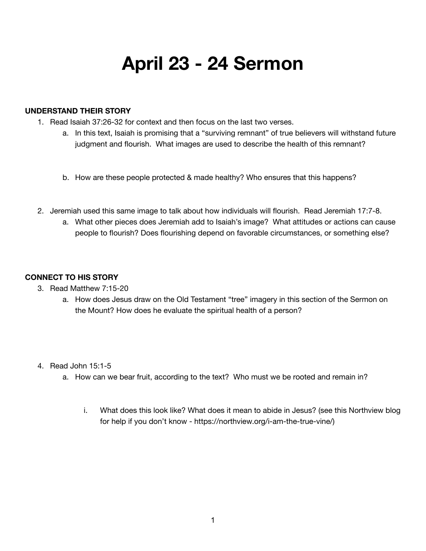# **April 23 - 24 Sermon**

#### **UNDERSTAND THEIR STORY**

- 1. Read Isaiah 37:26-32 for context and then focus on the last two verses.
	- a. In this text, Isaiah is promising that a "surviving remnant" of true believers will withstand future judgment and flourish. What images are used to describe the health of this remnant?
	- b. How are these people protected & made healthy? Who ensures that this happens?
- 2. Jeremiah used this same image to talk about how individuals will flourish. Read Jeremiah 17:7-8.
	- a. What other pieces does Jeremiah add to Isaiah's image? What attitudes or actions can cause people to flourish? Does flourishing depend on favorable circumstances, or something else?

### **CONNECT TO HIS STORY**

- 3. Read Matthew 7:15-20
	- a. How does Jesus draw on the Old Testament "tree" imagery in this section of the Sermon on the Mount? How does he evaluate the spiritual health of a person?
- 4. Read John 15:1-5
	- a. How can we bear fruit, according to the text? Who must we be rooted and remain in?
		- i. What does this look like? What does it mean to abide in Jesus? (see this Northview blog for help if you don't know - https://northview.org/i-am-the-true-vine/)